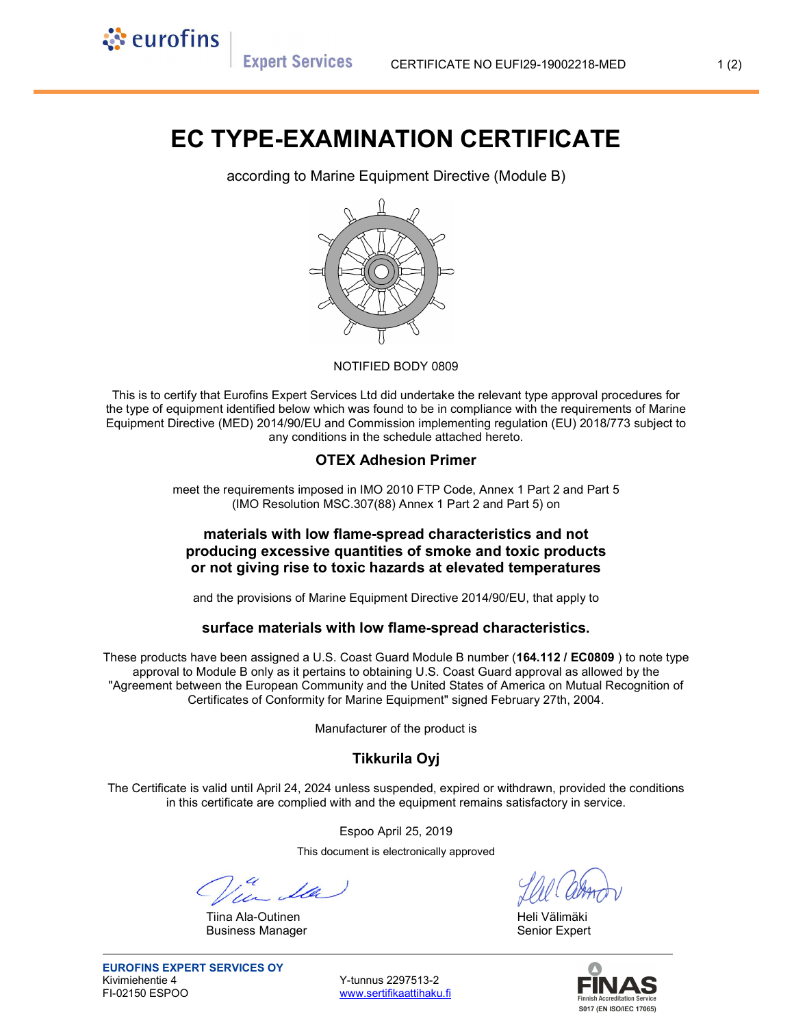**Expert Services** 

े eurofins

# EC TYPE-EXAMINATION CERTIFICATE

according to Marine Equipment Directive (Module B)



#### NOTIFIED BODY 0809

This is to certify that Eurofins Expert Services Ltd did undertake the relevant type approval procedures for the type of equipment identified below which was found to be in compliance with the requirements of Marine Equipment Directive (MED) 2014/90/EU and Commission implementing regulation (EU) 2018/773 subject to any conditions in the schedule attached hereto.

## OTEX Adhesion Primer

meet the requirements imposed in IMO 2010 FTP Code, Annex 1 Part 2 and Part 5 (IMO Resolution MSC.307(88) Annex 1 Part 2 and Part 5) on

## materials with low flame-spread characteristics and not producing excessive quantities of smoke and toxic products or not giving rise to toxic hazards at elevated temperatures

and the provisions of Marine Equipment Directive 2014/90/EU, that apply to

#### surface materials with low flame-spread characteristics.

These products have been assigned a U.S. Coast Guard Module B number (164.112 / EC0809) to note type approval to Module B only as it pertains to obtaining U.S. Coast Guard approval as allowed by the "Agreement between the European Community and the United States of America on Mutual Recognition of Certificates of Conformity for Marine Equipment" signed February 27th, 2004.

Manufacturer of the product is

## Tikkurila Oyj

The Certificate is valid until April 24, 2024 unless suspended, expired or withdrawn, provided the conditions in this certificate are complied with and the equipment remains satisfactory in service.

Espoo April 25, 2019

This document is electronically approved

Tiina Ala-Outinen Heli Välimäki Business Manager **Senior Expert** Senior Expert

www.sertifikaattihaku.fi